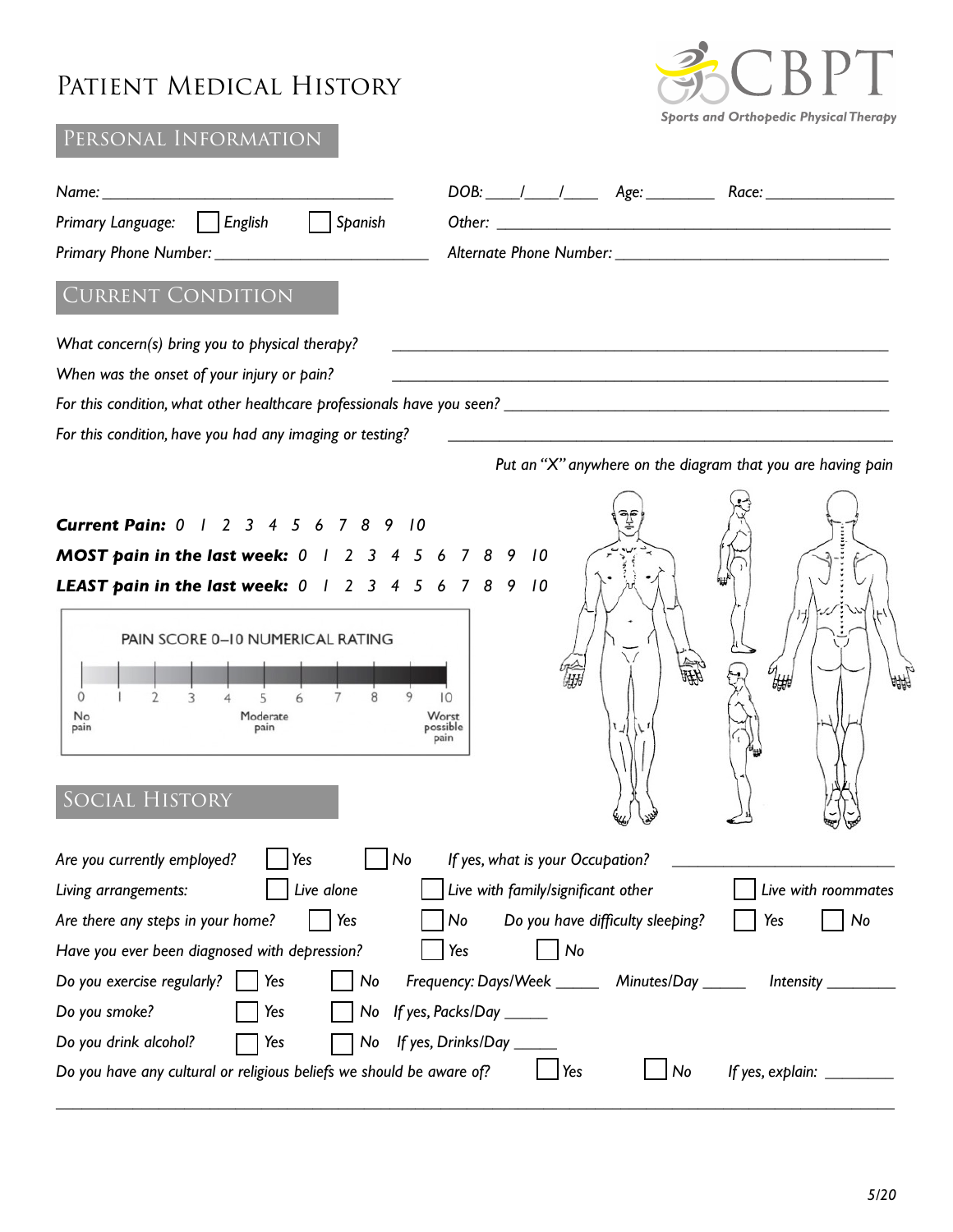## Patient Medical History



## Personal Information

| DOB: / / / Age: Race: Race:                                                                                                                                                                                                                                                                                                                                                                                                                                                                                                                                                                                                                                                                    |
|------------------------------------------------------------------------------------------------------------------------------------------------------------------------------------------------------------------------------------------------------------------------------------------------------------------------------------------------------------------------------------------------------------------------------------------------------------------------------------------------------------------------------------------------------------------------------------------------------------------------------------------------------------------------------------------------|
| Primary Language:     English     Spanish                                                                                                                                                                                                                                                                                                                                                                                                                                                                                                                                                                                                                                                      |
| Primary Phone Number: 1997                                                                                                                                                                                                                                                                                                                                                                                                                                                                                                                                                                                                                                                                     |
| <b>CURRENT CONDITION</b>                                                                                                                                                                                                                                                                                                                                                                                                                                                                                                                                                                                                                                                                       |
| What concern(s) bring you to physical therapy?                                                                                                                                                                                                                                                                                                                                                                                                                                                                                                                                                                                                                                                 |
| When was the onset of your injury or pain?<br>and the control of the control of the control of the control of the control of the control of the control of the                                                                                                                                                                                                                                                                                                                                                                                                                                                                                                                                 |
|                                                                                                                                                                                                                                                                                                                                                                                                                                                                                                                                                                                                                                                                                                |
| For this condition, have you had any imaging or testing?<br><u> 1980 - Andrea Andrew Maria (h. 1980).</u>                                                                                                                                                                                                                                                                                                                                                                                                                                                                                                                                                                                      |
| Put an "X" anywhere on the diagram that you are having pain                                                                                                                                                                                                                                                                                                                                                                                                                                                                                                                                                                                                                                    |
| <b>Current Pain:</b> 0 1 2 3 4 5 6 7 8 9 10                                                                                                                                                                                                                                                                                                                                                                                                                                                                                                                                                                                                                                                    |
| MOST pain in the last week: 0 1 2 3 4 5 6 7 8 9 10<br><b>LEAST pain in the last week:</b> $0 \mid 2 \mid 3 \mid 4 \mid 5 \mid 6 \mid 7 \mid 8 \mid 9 \mid 10$                                                                                                                                                                                                                                                                                                                                                                                                                                                                                                                                  |
| PAIN SCORE 0-10 NUMERICAL RATING<br>₩<br>$\Omega$<br>10<br>No<br>Moderate<br>Worst<br>possible<br>pain<br>pain<br>pain<br>SOCIAL HISTORY                                                                                                                                                                                                                                                                                                                                                                                                                                                                                                                                                       |
| Are you currently employed?<br>Yes<br>No<br>If yes, what is your Occupation?<br>Live alone<br>Live with family/significant other<br>Live with roommates<br>Living arrangements:<br>Are there any steps in your home?<br>Do you have difficulty sleeping?<br>Yes<br>No<br>Yes<br>No<br>Have you ever been diagnosed with depression?<br>No<br>Yes<br>Do you exercise regularly?<br>Frequency: Days/Week _______ Minutes/Day ______<br>$ $ Yes<br>No<br>Do you smoke?<br>Yes<br>No If yes, Packs/Day _____<br>Do you drink alcohol?<br>Yes<br>If yes, Drinks/Day ______<br>No<br>Do you have any cultural or religious beliefs we should be aware of?<br>Yes<br>If yes, explain: _________<br>No |